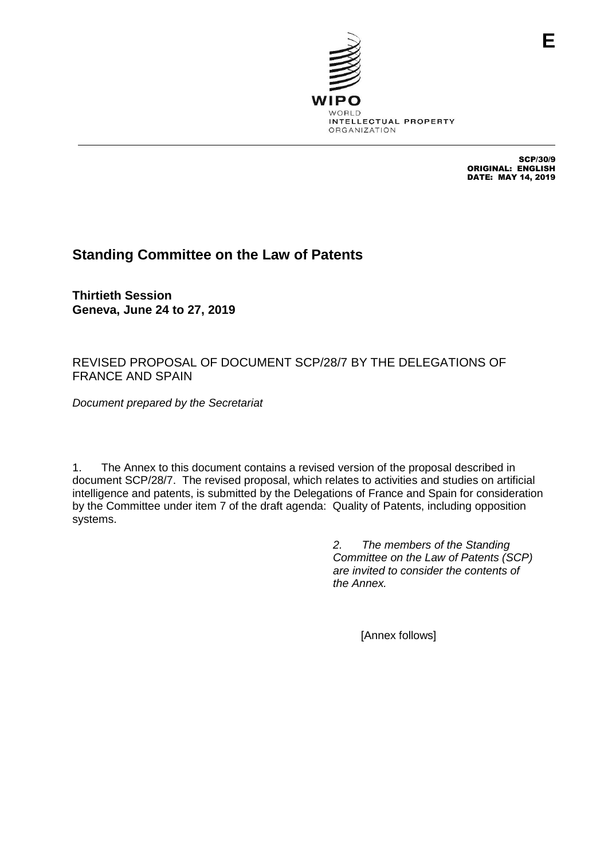

SCP/30/9 ORIGINAL: ENGLISH DATE: MAY 14, 2019

## **Standing Committee on the Law of Patents**

**Thirtieth Session Geneva, June 24 to 27, 2019**

## REVISED PROPOSAL OF DOCUMENT SCP/28/7 BY THE DELEGATIONS OF FRANCE AND SPAIN

*Document prepared by the Secretariat*

1. The Annex to this document contains a revised version of the proposal described in document SCP/28/7. The revised proposal, which relates to activities and studies on artificial intelligence and patents, is submitted by the Delegations of France and Spain for consideration by the Committee under item 7 of the draft agenda: Quality of Patents, including opposition systems.

> *2. The members of the Standing Committee on the Law of Patents (SCP) are invited to consider the contents of the Annex.*

> > [Annex follows]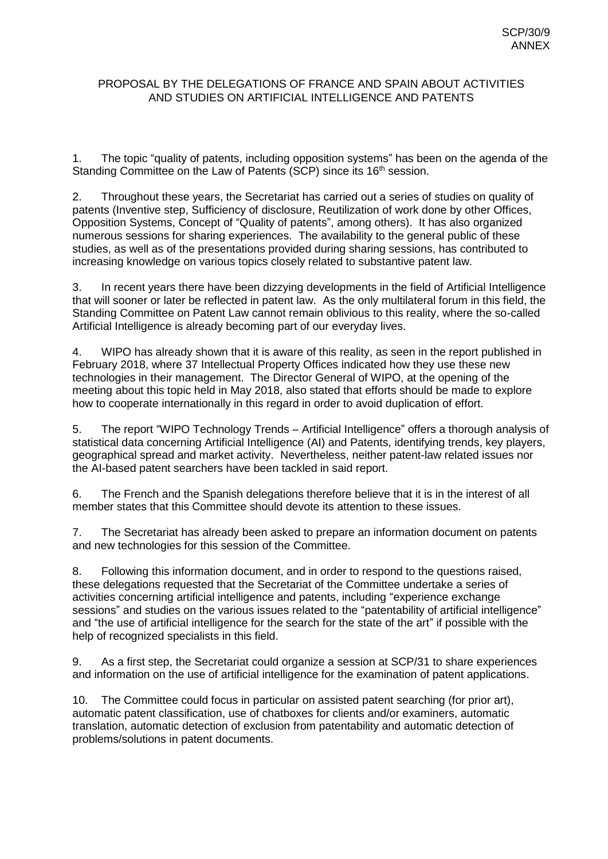## PROPOSAL BY THE DELEGATIONS OF FRANCE AND SPAIN ABOUT ACTIVITIES AND STUDIES ON ARTIFICIAL INTELLIGENCE AND PATENTS

1. The topic "quality of patents, including opposition systems" has been on the agenda of the Standing Committee on the Law of Patents (SCP) since its 16<sup>th</sup> session.

2. Throughout these years, the Secretariat has carried out a series of studies on quality of patents (Inventive step, Sufficiency of disclosure, Reutilization of work done by other Offices, Opposition Systems, Concept of "Quality of patents", among others). It has also organized numerous sessions for sharing experiences. The availability to the general public of these studies, as well as of the presentations provided during sharing sessions, has contributed to increasing knowledge on various topics closely related to substantive patent law.

3. In recent years there have been dizzying developments in the field of Artificial Intelligence that will sooner or later be reflected in patent law. As the only multilateral forum in this field, the Standing Committee on Patent Law cannot remain oblivious to this reality, where the so-called Artificial Intelligence is already becoming part of our everyday lives.

4. WIPO has already shown that it is aware of this reality, as seen in the report published in February 2018, where 37 Intellectual Property Offices indicated how they use these new technologies in their management. The Director General of WIPO, at the opening of the meeting about this topic held in May 2018, also stated that efforts should be made to explore how to cooperate internationally in this regard in order to avoid duplication of effort.

5. The report "WIPO Technology Trends – Artificial Intelligence" offers a thorough analysis of statistical data concerning Artificial Intelligence (AI) and Patents, identifying trends, key players, geographical spread and market activity. Nevertheless, neither patent-law related issues nor the AI-based patent searchers have been tackled in said report.

6. The French and the Spanish delegations therefore believe that it is in the interest of all member states that this Committee should devote its attention to these issues.

7. The Secretariat has already been asked to prepare an information document on patents and new technologies for this session of the Committee.

8. Following this information document, and in order to respond to the questions raised, these delegations requested that the Secretariat of the Committee undertake a series of activities concerning artificial intelligence and patents, including "experience exchange sessions" and studies on the various issues related to the "patentability of artificial intelligence" and "the use of artificial intelligence for the search for the state of the art" if possible with the help of recognized specialists in this field.

9. As a first step, the Secretariat could organize a session at SCP/31 to share experiences and information on the use of artificial intelligence for the examination of patent applications.

10. The Committee could focus in particular on assisted patent searching (for prior art), automatic patent classification, use of chatboxes for clients and/or examiners, automatic translation, automatic detection of exclusion from patentability and automatic detection of problems/solutions in patent documents.